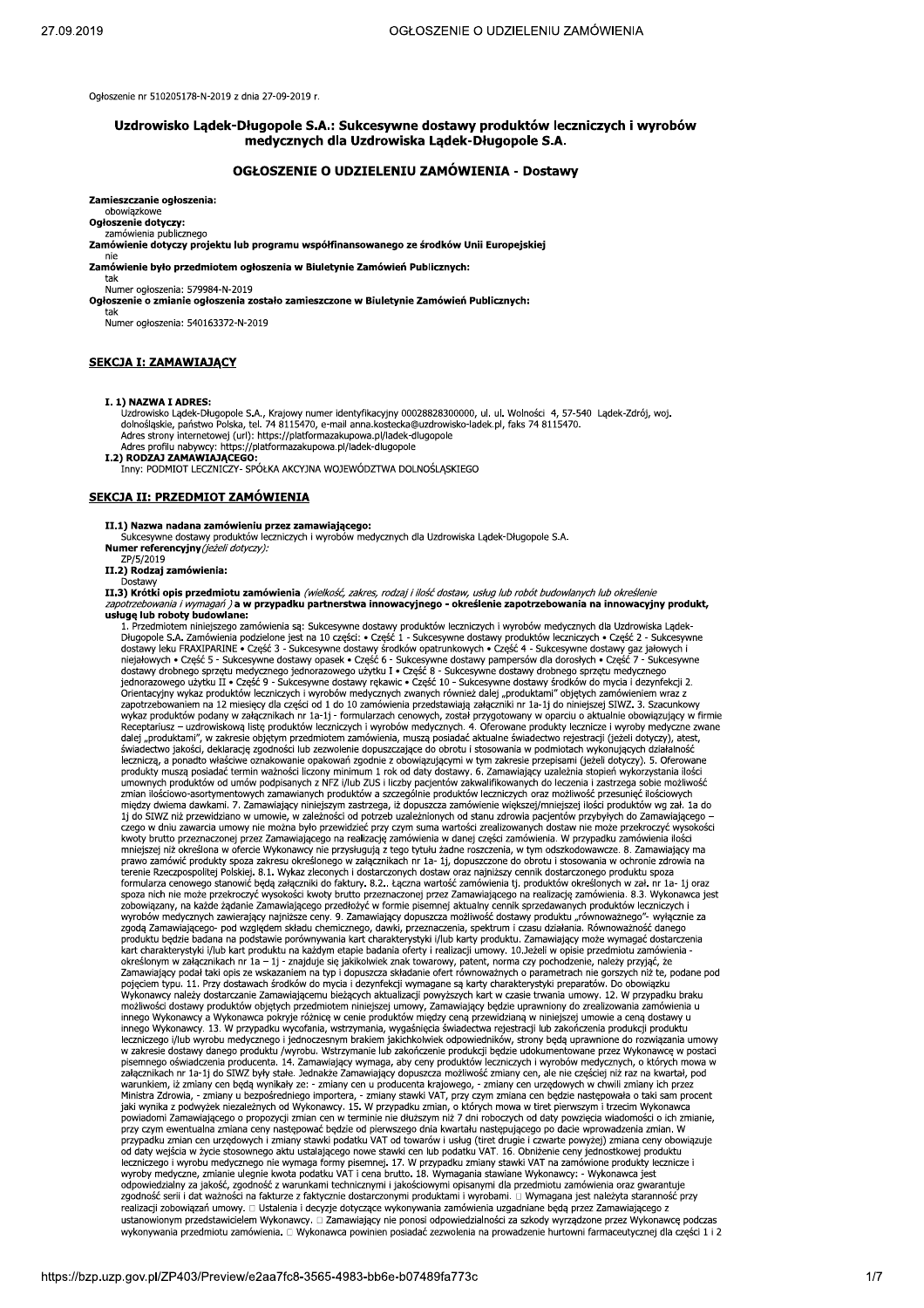Ogłoszenie nr 510205178-N-2019 z dnia 27-09-2019 r.

# Uzdrowisko Lądek-Długopole S.A.: Sukcesywne dostawy produktów leczniczych i wyrobów medycznych dla Uzdrowiska Lądek-Długopole S.A.

# OGŁOSZENIE O UDZIELENIU ZAMÓWIENIA - Dostawy

Zamieszczanie ogłoszenia:

#### obowiazkowe Ogłoszenie dotyczy:

tak

#### zamówienia nublicznego

Zamówienie dotyczy projektu lub programu współfinansowanego ze środków Unii Europejskiej

## Zamówienie było przedmiotem ogłoszenia w Biuletynie Zamówień Publicznych:

Numer ogłoszenia: 579984-N-2019

Ogłoszenie o zmianie ogłoszenia zostało zamieszczone w Biuletynie Zamówień Publicznych:

Numer ogłoszenia: 540163372-N-2019

## **SEKCJA I: ZAMAWIAJĄCY**

## I. 1) NAZWA I ADRES:

Uzdrowisko Lądek-Długopole S.A., Krajowy numer identyfikacyjny 00028828300000, ul. ul. Wolności 4, 57-540 Lądek-Zdrój, woj.<br>dolnoślaskie, państwo Polska, tel. 74 8115470, e-mail anna.kostecka@uzdrowisko-ladek.pl, faks 74 8 Adres strony internetowej (url): https://platformazakupowa.pl/ladek-dlugopole

Adres profilu nabywcy: https://platformazakupowa.pl/ladek-dlugopole

Aures primini navywy: ntups://piadormazakupowa.pr/iadek-didgopole<br>
I.2) RODZAJ ZAMAWIAJĄCEGO:<br>
Inny: PODMIOT LECZNICZY- SPÓŁKA AKCYJNA WOJEWÓDZTWA DOLNOŚLĄSKIEGO

## SEKCJA II: PRZEDMIOT ZAMÓWIENIA

II.1) Nazwa nadana zamówieniu przez zamawiającego:<br>Sukcesywne dostawy produktów leczniczych i wyrobów medycznych dla Uzdrowiska Lądek-Długopole S.A. Numer referencyjny (jeżeli dotyczy): ZP/5/2019

II.2) Rodzaj zamówienia:

II.3) Krótki opis przedmiotu zamówienia (wielkość, zakres, rodzaj i ilość dostaw, usług lub robót budowlanych lub określenie zapotrzebowania i wymagań) a w przypadku partnerstwa innowacyjnego - określenie zapotrzebowania na innowacyjny produkt, usługę lub roboty budowlane:

u Przedmiotem niniejszego zamówienia są: Sukcesywne dostawy produktów leczniczych i wyrobów medycznych dla Uzdrowiska Lądek-<br>1. Przedmiotem niniejszego zamówienia podzielone jest na 10 części: • Część 1 - Sukcesywne dostaw inejnowych w zczęst z wierzywnie uostawy opasek w zczęst o w sukcesywnie uostawy pamipersow da dorostych w częst z<br>dostawy drobnego sprzętu medycznego jednorazowego użytku I • Część 8 – Sukcesywne dostawy drobnego sprzętu Sienacyjny wykaz produktów leczniczych i wynowow medycznych zwanych niez dalej "płudukami" objętych zamiewienia<br>wykaz produktów podany w załącznikach nr 1a-1j - formularzach cenowych, został przygotowany w oparciu o aktual dalej "produktarní", w zakresie objetým przedmiotem zamowienia, muszą posiadać akutalne swiatectwo rejestracji (jezeli dotyczy), atest,<br>swiatectwo jakości, deklarację zgodności lub zezwolenie dopuszczające do obrotu i stos między dwiema dawkami. 7. Zamawiający niniejszym zastrzega, iż dopuszcza zamówienie większej/mniejszej ilości produktów wg zał. 1a do 1j do SIWZ niż przewidziano w umowie, w zależności od potrzeb uzależnionych od stanu zdr 1j do SIWZ niż przewidziano w umowie, w zależności od potrzeb uzależnionych od stanu zdrowia pacjentów przybyłych do Zamawiającego –<br>czego w dniu zawarcia umowy nie można było przewidzieć przy czym suma wartości zrealizowa spozumu met moce przedowych prawiania kazyka w proczasu wody przeznaczenia, przeznane przedowiązany, na każde żądanie Zamawiającego przedłożyć w formie pisemej aktualny cennik sprzeddawanych produktów leczniczych i wyrobów kart charakterystyki i/lub kart produktu na każdym etapie badania oferty i realizacji umowy. 10.Jeżeli w opisie przedmiotu zamówienia kan charakter, ystyk w protokomu na kazaym cupie. Dadama orocny i rednacy na mowy. 10.5220 w opake przedmiou zamowolna<br>Zamawiający podał taki opis ze wskazaniem na typ i dopuszcza składanie ofert równoważnych o parametrach pojęciem typu. 11. Przy dostawach środków do mycia i dezynfekcji wymagane są karty charakterystyki preparatów. Do obowiązku<br>Wykonawcy należy dostarczanie Zamawiającemu bieżących aktualizacji powyższych kart w czasie trwani wykonawcy należy dostałczanie zalnawiającelnu bieżących akualizacji powyszcych kart w czasie trwalna u możliwości dostawy produktów objętych przedmiotem niniejszej umowię na i mego Wykonawcy a Wykonawcy a Wykonawcy produkt pisemnego oświadczenia producenta. 14. Zamawiający wymaga, aby ceny produktów leczniczych i wyrobów medycznych, o których mowa w<br>załącznikach nr 1a-1j do SIWZ były stałe. Jednakże Zamawiający dopuszcza możliwość zmiany cen załącznikach nr 1a-1j do SIWZ były stałe. Jednakże Zamawiający dopuszcza możliwość zmiany cen, ale nie częściej niż raz na kwartał, pod<br>warunkiem, iż zmiany cen będą wynikały ze: - zmiany cen u producenta krajowego, - zmia eczniczego i wyrobu medycznego nie wymagą formy pisemnej. 17. W przypadku zmiany stawki VAT na zamówione produkty lecznicze i<br>wyroby medyczne, zmianie ulegnie kwota podatku VAT i cena brutto. 18. Wymagania stawiane Wykonaw odpowiedzialny za jakość, zgodność z warunkami technicznymi i jakościowymi opisanymi dla przedmiotu zamówienia oraz gwarantuje<br>Zgodność serii i dat ważności na fakturze z faktycznie dostarczonymi produktami i wyrobami. □ realizacji zobowiązań umowy. □ Ustalenia i decyzje dotyczące wykonywania zamówienia uzgadniane będą przez Zamawiającego z vania przedstawicielem Wykonawcy . □ Zamawiający nie ponosi odpowiedzialności za szkody wyrządzone przez Wykonawcę podczas<br>wykonywania przedstawicielem Wykonawcy . □ Zamawiający nie ponosi odpowiedzialności za szkody wyrz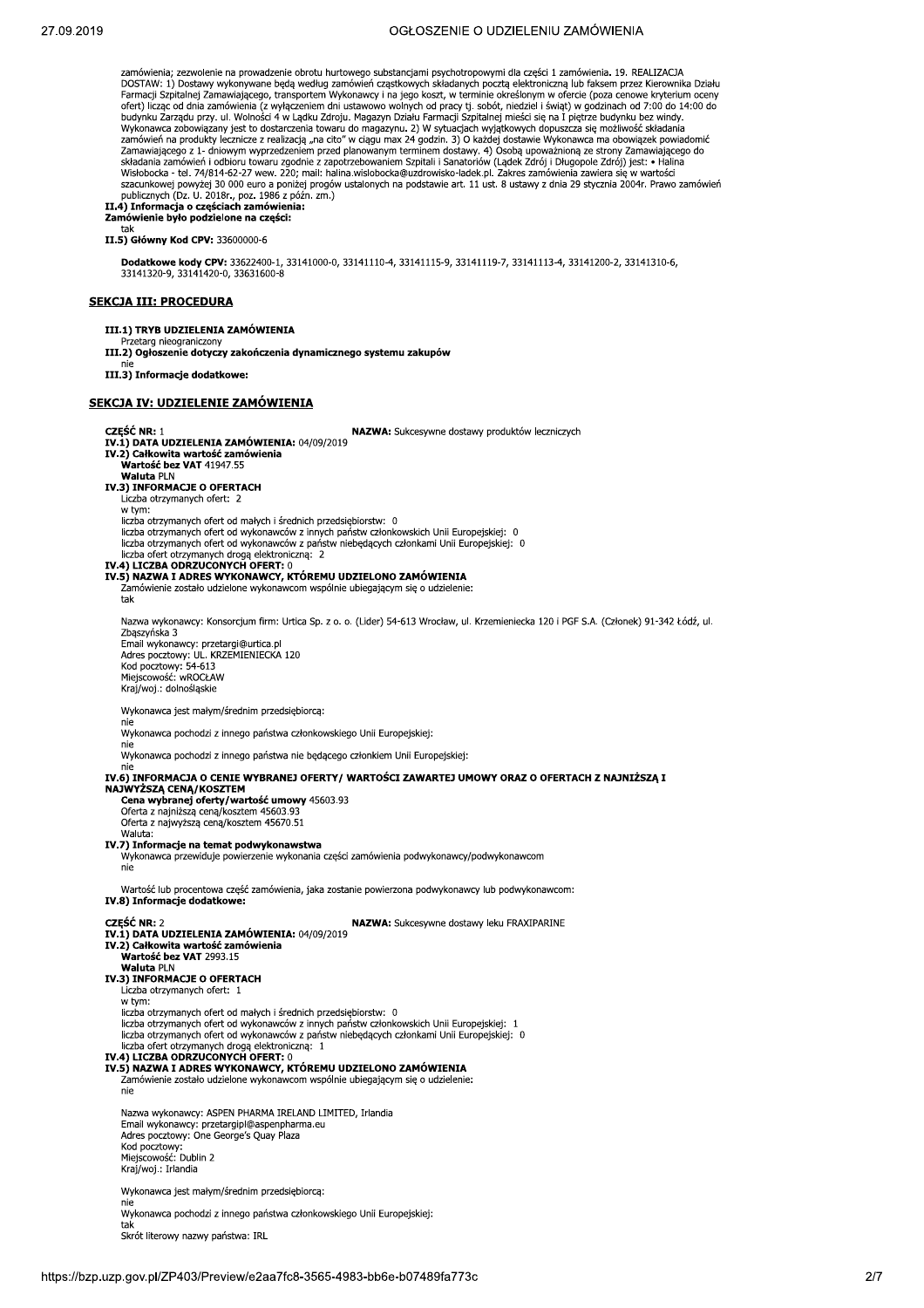# OGŁOSZENIE O UDZIELENIU ZAMÓWIENIA

zamówienia; zezwolenie na prowadzenie obrotu hurtowego substancjami psychotropowymi dla części 1 zamówienia. 19. REALIZACJA<br>DOSTAW: 1) Dostawy wykonywane będą według zamówień cząstkowych składanych pocztą elektroniczną lub DOSTAW: 1) Dostawy wykonywane będą według zamówień cząstkowych składanych pocztą elektroniczną lub faksem przez Kierownika Działu<br>Farmacji Szpitalnej Zamawiającego, transportem Wykonawcy i na jego koszt, w terminie określi Wisłobocka - tel. 74/814-62-27 wew. 220; mail: halina wislobocka@uzdrowisko-ladek.pl. Zakres zamówienia zawiera się w wartości<br>szacunkowej powyżej 30 000 euro a poniżej progów ustalonych na podstawie art. 11 ust. 8 ustawy publicznych (Dz. U. 2018r., poz. 1986 z późn. zm.)<br>**II.4) Informacja o częściach zamówienia:** zamówienie było podzielone na części: tak II.5) Główny Kod CPV: 33600000-6 Dodatkowe kody CPV: 33622400-1, 33141000-0, 33141110-4, 33141115-9, 33141119-7, 33141113-4, 33141200-2, 33141310-6, 33141320-9, 33141420-0, 33631600-8 **SEKCJA III: PROCEDURA** III.1) TRYB UDZIELENIA ZAMÓWIENIA Przetarg nieograniczony III.2) Ogłoszenie dotyczy zakończenia dynamicznego systemu zakupów III.3) Informacje dodatkowe: **SEKCJA IV: UDZIELENIE ZAMÓWIENIA CZĘŚĆ NR: 1** NAZWA: Sukcesywne dostawy produktów leczniczych IV.1) DATA UDZIELENIA ZAMÓWIENIA: 04/09/2019<br>IV.2) Całkowita wartość zamówienia Wartość bez VAT 41947.55 **Waluta PLN** IV.3) INFORMACJE O OFERTACH Liczba otrzymanych ofert: 2 w tym: w tym.<br>liczba otrzymanych ofert od małych i średnich przedsiębiorstw: 0<br>liczba otrzymanych ofert od wykonawców z innych państw członkowskich Unii Europejskiej: 0 liczba otrzymanych ofert od wykonawców z państw niebędących członkami Unii Europejskiej: 0 liczba ofert otrzymanych drogą elektroniczną: 2 IV.4) LICZBA ODRZUCONYCH OFERT: 0<br>IV.5) NAZWA I ADRES WYKONAWCY, KTÓREMU UDZIELONO ZAMÓWIENIA Zamówienie zostało udzielone wykonawcom wspólnie ubiegającym się o udzielenie: tak Nazwa wykonawcy: Konsorcjum firm: Urtica Sp. z o. o. (Lider) 54-613 Wrocław, ul. Krzemieniecka 120 i PGF S.A. (Członek) 91-342 Łódź, ul. Zbąszyńska 3 zueszynska<br>
Email wykonawcy: przetargi@urtica.pl<br>
Adres pocztowy: UL. KRZEMIENIECKA 120<br>
Kod pocztowy: 54-613<br>
Miejscowość: wROCŁAW Kraj/woj.: dolnośląskie Wykonawca jest małym/średnim przedsiębiorcą: nie Wykonawca pochodzi z innego państwa członkowskiego Unii Europejskiej: nie ...<br>Wykonawca pochodzi z innego państwa nie będącego członkiem Unii Europejskiej: nie IV.6) INFORMACJA O CENIE WYBRANEJ OFERTY / WARTOŚCI ZAWARTEJ UMOWY ORAZ O OFERTACH Z NAJNIŻSZA I NAJWYŻSZĄ CENĄ/KOSZTEM Cena wybranej oferty/wartość umowy 45603.93<br>Oferta z najniższą ceną/kosztem 45603.93 Oferta z najwyższą cena/kosztem 45670.51 Waluta: IV.7) Informacje na temat podwykonawstwa Wykonawca przewiduje powierzenie wykonania części zamówienia podwykonawcy/podwykonawcom Wartość lub procentowa część zamówienia, jaka zostanie powierzona podwykonawcy lub podwykonawcom: IV.8) Informacje dodatkowe: CZEŚĆ NR 2 NAZWA: Sukcesywne dostawy leku FRAXIPARINE IV.1) DATA UDZIELENIA ZAMÓWIENIA: 04/09/2019 IV.2) Całkowita wartość zamówienia<br>Wartość bez VAT 2993.15 Waluta PLN<br>IV.3) INFORMACJE O OFERTACH<br>Liczba otrzymanych ofert: 1 w tvm: iczba otrzymanych ofert od małych i średnich przedsiębiorstw: 0 liczba otrzymanych ofert od wykonawców z innych państw członkowskich Unii Europejskiej: 1<br>liczba otrzymanych ofert od wykonawców z państw niebędących członkami Unii Europejskiej: 0 liczba ofert otrzymanych drogą elektroniczną: 1<br>IV.4) LICZBA ODRZUCONYCH OFERT: 0 Zamówienie zostało udzielone wykonawcom wspólnie ubiegającym się o udzielenie: nie Nazwa wykonawcy: ASPEN PHARMA IRELAND LIMITED, Irlandia Email wykonawcy: przetargipl@aspenpharma.eu<br>Adres pocztowy: One George's Quay Plaza Aures pocztowy. One<br>Kod pocztowy:<br>Miejscowość: Dublin 2 Kraj/woj.: Irlandia Wykonawca jest małym/średnim przedsiebiorca:

Wykonawca pochodzi z innego państwa członkowskiego Unii Europejskiej: Skrót literowy nazwy państwa: IRL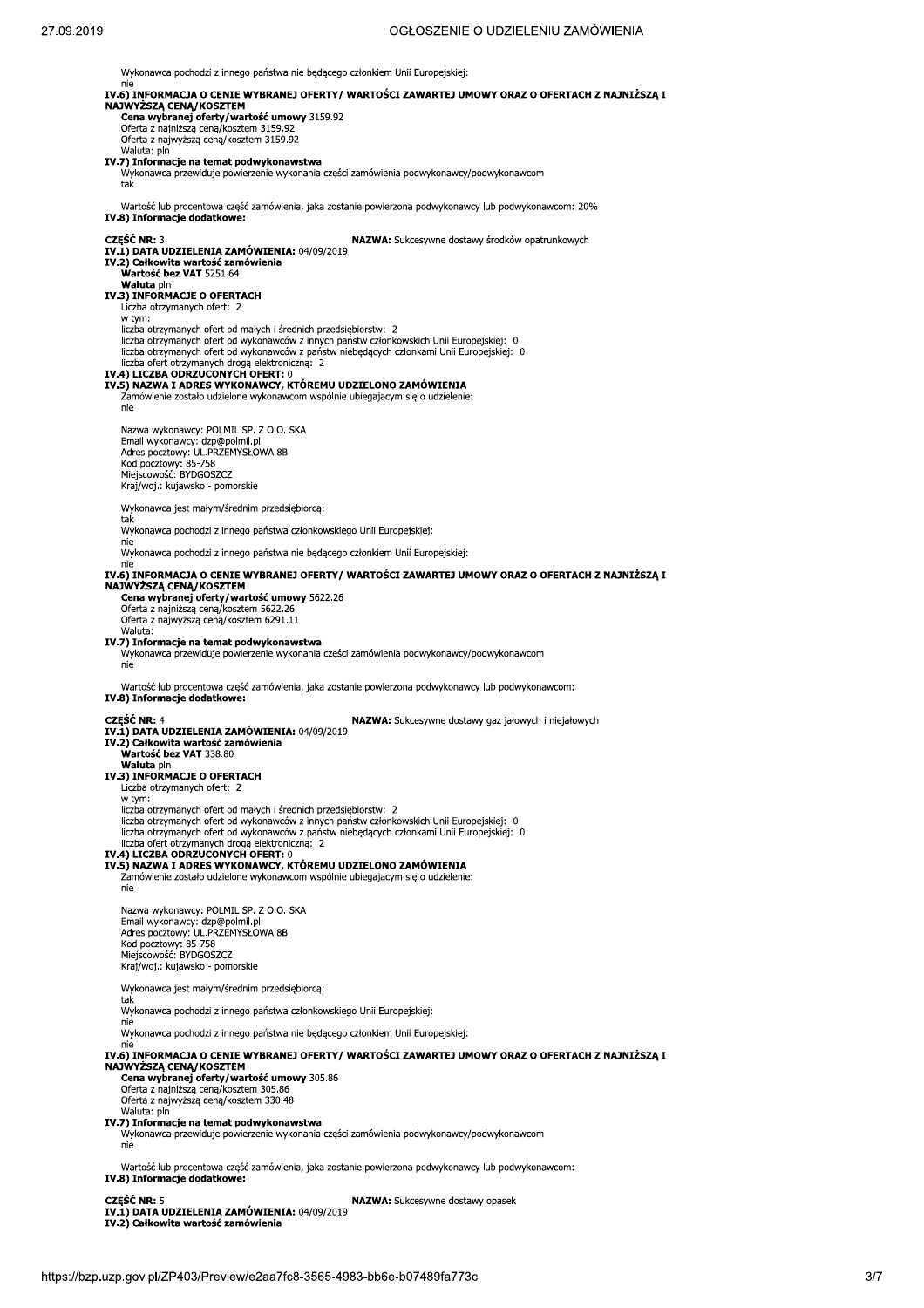Wykonawca pochodzi z innego państwa nie będącego członkiem Unii Europejskiej:

| nie                                                                                               | IV.6) INFORMACJA O CENIE WYBRANEJ OFERTY/ WARTOŚCI ZAWARTEJ UMOWY ORAZ O OFERTACH Z NAJNIŻSZĄ I                                                                                         |
|---------------------------------------------------------------------------------------------------|-----------------------------------------------------------------------------------------------------------------------------------------------------------------------------------------|
| NAJWYŻSZĄ CENĄ/KOSZTEM<br>Cena wybranej oferty/wartość umowy 3159.92                              |                                                                                                                                                                                         |
| Oferta z najniższą ceną/kosztem 3159.92<br>Oferta z najwyższą ceną/kosztem 3159.92                |                                                                                                                                                                                         |
| Waluta: pln<br>IV.7) Informacje na temat podwykonawstwa                                           |                                                                                                                                                                                         |
| tak                                                                                               | Wykonawca przewiduje powierzenie wykonania części zamówienia podwykonawcy/podwykonawcom                                                                                                 |
| IV.8) Informacje dodatkowe:                                                                       | Wartość lub procentowa część zamówienia, jaka zostanie powierzona podwykonawcy lub podwykonawcom: 20%                                                                                   |
| <b>CZEŚĆ NR: 3</b><br>IV.1) DATA UDZIELENIA ZAMÓWIENIA: 04/09/2019                                | NAZWA: Sukcesywne dostawy środków opatrunkowych                                                                                                                                         |
| IV.2) Całkowita wartość zamówienia<br>Wartość bez VAT 5251.64                                     |                                                                                                                                                                                         |
| Waluta pin<br>IV.3) INFORMACJE O OFERTACH                                                         |                                                                                                                                                                                         |
| Liczba otrzymanych ofert: 2                                                                       |                                                                                                                                                                                         |
| w tym:<br>liczba otrzymanych ofert od małych i średnich przedsiębiorstw: 2                        |                                                                                                                                                                                         |
| liczba ofert otrzymanych drogą elektroniczną: 2                                                   | liczba otrzymanych ofert od wykonawców z innych państw członkowskich Unii Europejskiej: 0<br>liczba otrzymanych ofert od wykonawców z państw niebędących członkami Unii Europejskiej: 0 |
| IV.4) LICZBA ODRZUCONYCH OFERT: 0                                                                 |                                                                                                                                                                                         |
| IV.5) NAZWA I ADRES WYKONAWCY, KTÓREMU UDZIELONO ZAMÓWIENIA                                       | Zamówienie zostało udzielone wykonawcom wspólnie ubiegającym się o udzielenie:                                                                                                          |
| nie                                                                                               |                                                                                                                                                                                         |
| Nazwa wykonawcy: POLMIL SP. Z O.O. SKA<br>Email wykonawcy: dzp@polmil.pl                          |                                                                                                                                                                                         |
| Adres pocztowy: UL.PRZEMYSŁOWA 8B<br>Kod pocztowy: 85-758                                         |                                                                                                                                                                                         |
| Miejscowość: BYDGOSZCZ<br>Kraj/woj.: kujawsko - pomorskie                                         |                                                                                                                                                                                         |
| Wykonawca jest małym/średnim przedsiębiorcą:                                                      |                                                                                                                                                                                         |
| tak<br>Wykonawca pochodzi z innego państwa członkowskiego Unii Europejskiej:                      |                                                                                                                                                                                         |
| nie                                                                                               | Wykonawca pochodzi z innego państwa nie będącego członkiem Unii Europejskiej:                                                                                                           |
| nie                                                                                               | IV.6) INFORMACJA O CENIE WYBRANEJ OFERTY/ WARTOŚCI ZAWARTEJ UMOWY ORAZ O OFERTACH Z NAJNIŻSZĄ I                                                                                         |
| NAJWYŻSZĄ CENĄ/KOSZTEM<br>Cena wybranej oferty/wartość umowy 5622.26                              |                                                                                                                                                                                         |
| Oferta z najniższą ceną/kosztem 5622.26<br>Oferta z najwyższą ceną/kosztem 6291.11                |                                                                                                                                                                                         |
| Waluta:<br>IV.7) Informacje na temat podwykonawstwa                                               |                                                                                                                                                                                         |
| nie                                                                                               | Wykonawca przewiduje powierzenie wykonania części zamówienia podwykonawcy/podwykonawcom                                                                                                 |
| IV.8) Informacje dodatkowe:                                                                       | Wartość lub procentowa część zamówienia, jaka zostanie powierzona podwykonawcy lub podwykonawcom:                                                                                       |
| <b>CZEŚĆ NR: 4</b>                                                                                | NAZWA: Sukcesywne dostawy gaz jałowych i niejałowych                                                                                                                                    |
| IV.1) DATA UDZIELENIA ZAMÓWIENIA: 04/09/2019<br>IV.2) Całkowita wartość zamówienia                |                                                                                                                                                                                         |
| Wartość bez VAT 338.80<br><b>Waluta</b> pin                                                       |                                                                                                                                                                                         |
| IV.3) INFORMACJE O OFERTACH<br>Liczba otrzymanych ofert: 2                                        |                                                                                                                                                                                         |
| w tym:<br>liczba otrzymanych ofert od małych i średnich przedsiebiorstw: 2                        |                                                                                                                                                                                         |
|                                                                                                   | liczba otrzymanych ofert od wykonawców z innych państw członkowskich Unii Europejskiej: 0<br>liczba otrzymanych ofert od wykonawców z państw niebędących członkami Unii Europejskiej: 0 |
| liczba ofert otrzymanych drogą elektroniczną: 2<br>IV.4) LICZBA ODRZUCONYCH OFERT: 0              |                                                                                                                                                                                         |
| IV.5) NAZWA I ADRES WYKONAWCY, KTÓREMU UDZIELONO ZAMÓWIENIA                                       | Zamówienie zostało udzielone wykonawcom wspólnie ubiegającym się o udzielenie:                                                                                                          |
| nie                                                                                               |                                                                                                                                                                                         |
| Nazwa wykonawcy: POLMIL SP, Z O.O. SKA<br>Email wykonawcy: dzp@polmil.pl                          |                                                                                                                                                                                         |
| Adres pocztowy: UL.PRZEMYSŁOWA 8B<br>Kod pocztowy: 85-758                                         |                                                                                                                                                                                         |
| Miejscowość: BYDGOSZCZ<br>Kraj/woj.: kujawsko - pomorskie                                         |                                                                                                                                                                                         |
| Wykonawca jest małym/średnim przedsiębiorcą:                                                      |                                                                                                                                                                                         |
| tak<br>Wykonawca pochodzi z innego państwa członkowskiego Unii Europejskiej:                      |                                                                                                                                                                                         |
| nie                                                                                               | Wykonawca pochodzi z innego państwa nie będącego członkiem Unii Europejskiej:                                                                                                           |
| nie                                                                                               | IV.6) INFORMACJA O CENIE WYBRANEJ OFERTY/ WARTOŚCI ZAWARTEJ UMOWY ORAZ O OFERTACH Z NAJNIŻSZĄ I                                                                                         |
| NAJWYŻSZĄ CENĄ/KOSZTEM<br>Cena wybranej oferty/wartość umowy 305.86                               |                                                                                                                                                                                         |
| Oferta z najniższą ceną/kosztem 305.86<br>Oferta z najwyższą ceną/kosztem 330.48                  |                                                                                                                                                                                         |
| Waluta: pln<br>IV.7) Informacje na temat podwykonawstwa                                           |                                                                                                                                                                                         |
| nie                                                                                               | Wykonawca przewiduje powierzenie wykonania części zamówienia podwykonawcy/podwykonawcom                                                                                                 |
| Wartość lub procentowa część zamówienia, jaka zostanie powierzona podwykonawcy lub podwykonawcom: |                                                                                                                                                                                         |
| IV.8) Informacje dodatkowe:                                                                       |                                                                                                                                                                                         |
| <b>CZĘŚĆ NR: 5</b>                                                                                | <b>NAZWA:</b> Sukcesywne dostawy opasek                                                                                                                                                 |

CZĘSC NR: 5<br>IV.1) DATA UDZIELENIA ZAMÓWIENIA: 04/09/2019<br>IV.2) Całkowita wartość zamówienia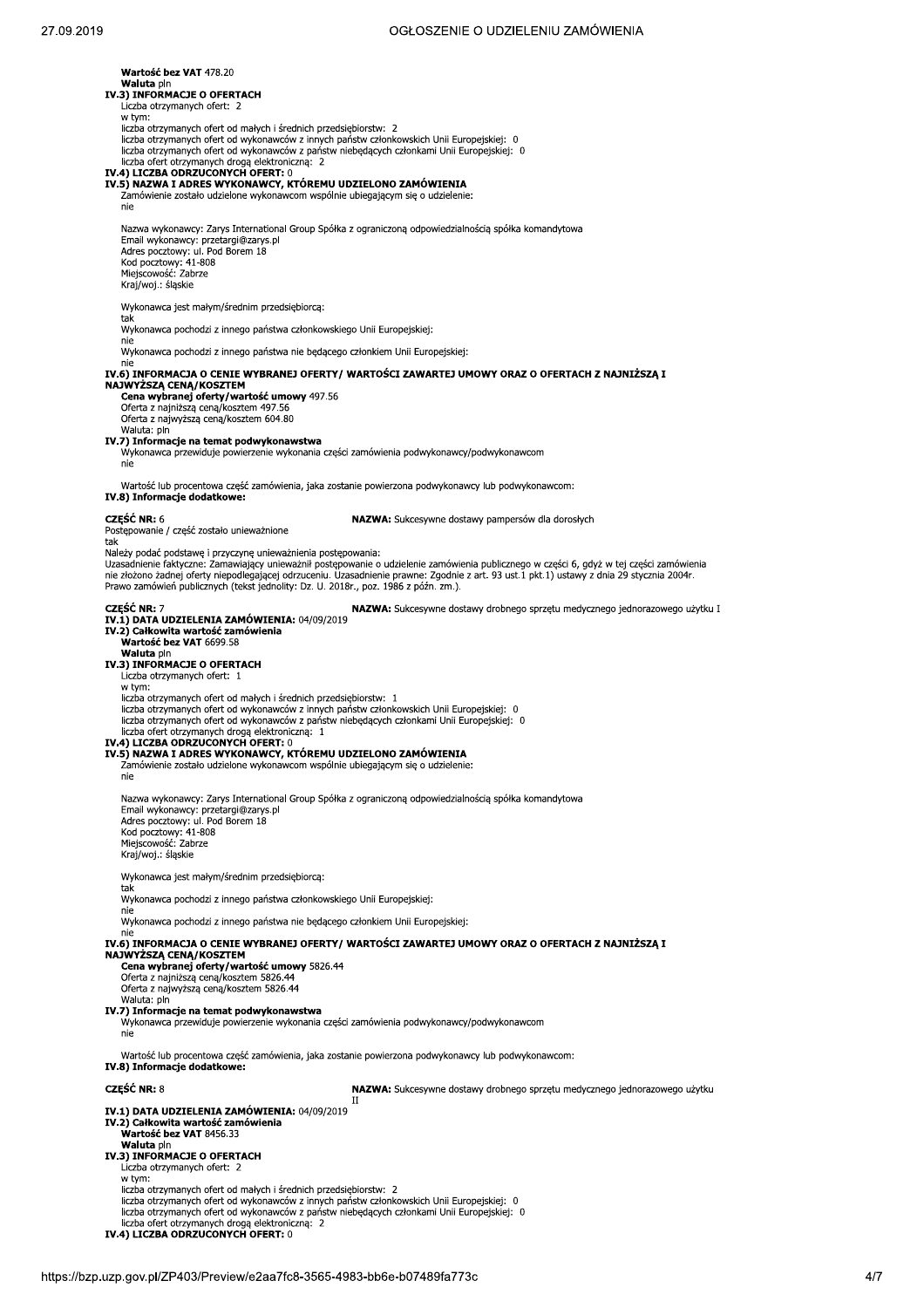Wartość bez VAT 478.20 Waluta pin IV.3) INFORMACJE O OFERTACH Liczba otrzymanych ofert: 2 w tym: w tym.<br>liczba otrzymanych ofert od małych i średnich przedsiębiorstw: 2<br>liczba otrzymanych ofert od wykonawców z innych państw członkowskich Unii Europejskiej: 0 liczba otrzymanych ofert od wykonawców z państw niebędących członkami Unii Europejskiej: 0<br>liczba ofert otrzymanych drogą elektroniczną: 2<br>**IV.4) LICZBA ODRZUCONYCH OFERT:** 0 IV.5) NAZWA I ADRES WYKONAWCY, KTÓREMU UDZIELONO ZAMÓWIENIA Zamówienie zostało udzielone wykonawcom wspólnie ubiegającym się o udzielenie: nie Nazwa wykonawcy: Zarys International Group Spółka z ograniczona odpowiedzialnościa spółka komandytowa Email wykonawcy: przetargi@zarys.pl Linian wykonawcy, przedających Adres pocztowy: ul. Pod Borem 18<br>Kod pocztowy: 41-808<br>Miejscowość: Zabrze<br>Kraj/woj.: śląskie Wykonawca jest małym/średnim przedsiebiorca: Wykonawca pochodzi z innego państwa członkowskiego Unii Europejskiej: Wykonawca pochodzi z innego państwa nie będącego członkiem Unii Europejskiej: nie IV.6) INFORMACJA O CENIE WYBRANEJ OFERTY/ WARTOŚCI ZAWARTEJ UMOWY ORAZ O OFERTACH Z NAJNIŻSZĄ I IV.6) INFORMACJA O CENIE WYBRANEJ OFERTY<br>NAJWYŻSZĄ CENĄ/KOSZTEM<br>Cena wybranej oferty/wartość umowy 497.56 Oferta z najniższa cena/kosztem 497.56 Oferta z najmiszą ceną/kosztem 157138 Waluta: pln<br> **IV.7) Informacje na temat podwykonawstwa** Wykonawca przewiduje powierzenie wykonania części zamówienia podwykonawcy/podwykonawcom nie Wartość lub procentowa część zamówienia, jaka zostanie powierzona podwykonawcy lub podwykonawcom: IV.8) Informacje dodatkowe: **CZEŚĆ NR: 6** NAZWA: Sukcesywne dostawy pampersów dla dorosłych Postępowanie / część zostało unieważnione tak Należy podać podstawę i przyczynę unieważnienia postępowania: runczy podat postawę rprzycznie na wielkiego wielkiego do dzielenie zamówienia publicznego w części 6, gdyż w tej części zamówienia<br>nie złożono żadnej oferty niepodlegającej odrzuceniu. Uzasadnienie prawne: Zgodnie z art. Prawo zamówień publicznych (tekst jednolity: Dz. U. 2018r., poz. 1986 z późn. zm.). CZEŚĆ NR: 7 NAZWA: Sukcesywne dostawy drobnego sprzętu medycznego jednorazowego użytku I IV.1) DATA UDZIELENIA ZAMÓWIENIA: 04/09/2019 IV.2) Całkowita wartość zamówienia<br>Wartość bez VAT 6699.58 Waluta pln<br> **Waluta pln**<br> **IV.3) INFORMACJE O OFERTACH**<br>
Liczba otrzymanych ofert: 1 w tym: liczba otrzymanych ofert od małych i średnich przedsiębiorstw: 1 iiczba otrzymanych ofert od wykonawców z innych państw członkowskich Unii Europejskiej: 0<br>liczba otrzymanych ofert od wykonawców z innych państw członkowskich Unii Europejskiej: 0<br>liczba otrzymanych ofert od wykonawców z p liczba ofert otrzymanych drogą elektroniczną: 1<br>
IV.4) LICZBA ODRZUCONYCH OFERT: 0 IV.5) NAZWA I ADRES WYKONAWCY, KTÓREMU UDZIELONO ZAMÓWIENIA Zamówienie zostało udzielone wykonawcom wspólnie ubiegającym się o udzielenie:  $nie$ Nazwa wykonawcy: Zarys International Group Spółka z ograniczoną odpowiedzialnością spółka komandytowa Nazwa wykonawcy: zarys International<br>Email wykonawcy: przetargi@zarys.pl<br>Adres pocztowy: ul. Pod Borem 18<br>Kod pocztowy: 41-808<br>Miejscowość: Zabrze Kraj/woj.: śląskie Wykonawca jest małym/średnim przedsiębiorcą: www.com<br>Wykonawca pochodzi z innego państwa członkowskiego Unii Europejskiej: nie Wykonawca pochodzi z innego państwa nie bedacego członkiem Unii Europejskiej: IV.6) INFORMACJA O CENIE WYBRANEJ OFERTY/ WARTOŚCI ZAWARTEJ UMOWY ORAZ O OFERTACH Z NAJNIŻSZA I NAJWYŻSZĄ CENĄ/KOSZTEM **Cena wybranej oferty/wartość umowy** 5826.44<br>Oferta z najniższą ceną/kosztem 5826.44 Oferta z najwyższą ceną/kosztem 5826.44 Waluta: pln IV.7) Informacje na temat podwykonawstwa Wykonawca przewiduje powierzenie wykonania części zamówienia podwykonawcy/podwykonawcom Wartość lub procentowa część zamówienia, jaka zostanie powierzona podwykonawcy lub podwykonawcom: IV.8) Informacje dodatkowe: CZEŚĆ NR · 8 NAZWA: Sukcesywne dostawy drobnego sprzętu medycznego jednorazowego użytku  $\overline{\mathbf{H}}$ IV.1) DATA UDZIELENIA ZAMÓWIENIA: 04/09/2019 IV.2) Całkowita wartość zamówienia<br>Wartość bez VAT 8456.33 Waluta pin IV.3) INFORMACJE O OFERTACH Liczba otrzymanych ofert: 2 w tvm: liczba otrzymanych ofert od małych i średnich przedsiębiorstw: 2 liczba otrzymanych ofert od wykonawców z innych państw członkowskich Unii Europeiskiei: 0 liczba otrzymanych ofert od wykonawców z państw niebędących członkami Unii Europejskiej: 0 liczba ofert otrzymanych drogą elektroniczną: 2<br>IV.4) LICZBA ODRZUCONYCH OFERT: 0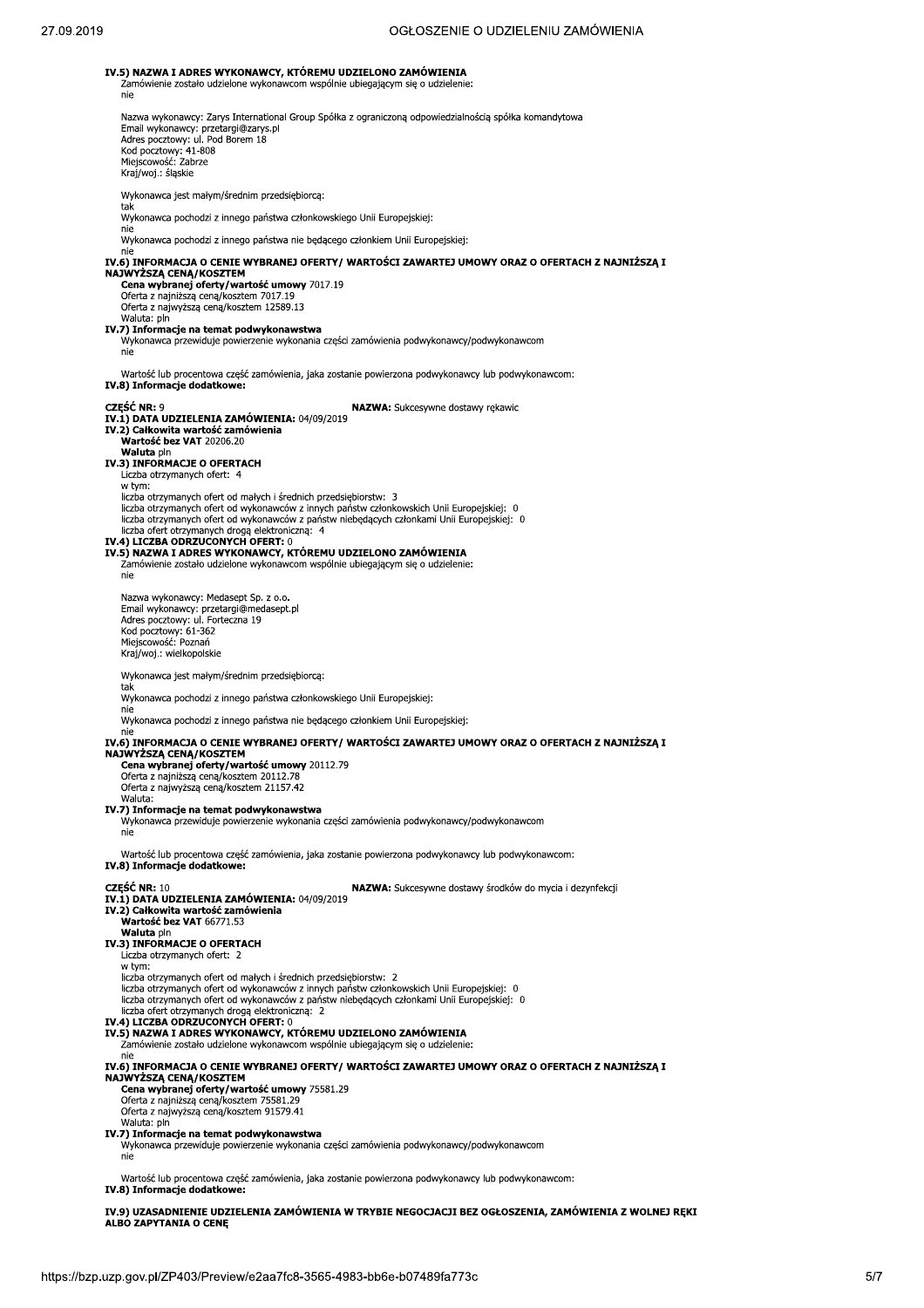OGŁOSZENIE O UDZIELENIU ZAMÓWIENIA IV.5) NAZWA I ADRES WYKONAWCY, KTÓREMU UDZIELONO ZAMÓWIENIA Zamówienie zostało udzielone wykonawcom wspólnie ubiegającym się o udzielenie: nie Nazwa wykonawcy: Zarys International Group Spółka z ograniczoną odpowiedzialnością spółka komandytowa Naziva wykonawcy: zarystane international<br>Email wykonawcy: przetargi@zarys.pl<br>Adres pocztowy: ul. Pod Borem 18<br>Kod pocztowy: 41-808<br>Miejscowość: Zabrze Kraj/woj.: śląskie Wykonawca jest małym/średnim przedsiębiorcą: w.<br>Wykonawca pochodzi z innego państwa członkowskiego Unii Europejskiej: nie Wykonawca pochodzi z innego państwa nie będącego członkiem Unii Europejskiej: IV.6) INFORMACJA O CENIE WYBRANEJ OFERTY/ WARTOŚCI ZAWARTEJ UMOWY ORAZ O OFERTACH Z NAJNIŻSZĄ I NAJWYŻSZĄ CENĄ/KOSZTEM<br>Cena wybranej oferty/wartość umowy 7017.19 Oferta z najniższą ceną/kosztem 7017.19 Oferta z najwyższą ceną/kosztem 12589.13 Waluta: pln IV.7) Informacje na temat podwykonawstwa<br>Wykonawca przewiduje powierzenie wykonania części zamówienia podwykonawcy/podwykonawcom nie Wartość lub procentowa część zamówienia, jaka zostanie powierzona podwykonawcy lub podwykonawcom: IV.8) Informacje dodatkowe: CZEŚĆ NR: 9 NAZWA: Sukcesywne dostawy rekawic 1) DATA UDZIELENIA ZAMÓWIENIA: 04/09/2019 IV.2) Całkowita wartość zamówienia<br>Wartość bez VAT 20206.20 **Waluta pin** IV.3) INFORMACJE O OFERTACH Liczba otrzymanych ofert: 4 w tvm: liczba otrzymanych ofert od małych i średnich przedsiębiorstw: 3 iczba otrzymanych ofert od wykonawców z innych państw członkowskich Unii Europejskiej: 0<br>liczba otrzymanych ofert od wykonawców z państw niebędących członkami Unii Europejskiej: 0 liczba ofert otrzymanych drogą elektroniczną: 4<br>IV.4) LICZBA ODRZUCONYCH OFERT: 0 IV.5) NAZWA I ADRES WYKONAWCY, KTÓREMU UDZIELONO ZAMÓWIENIA Zamówienie zostało udzielone wykonawcom wspólnie ubiegającym się o udzielenie: nie Nazwa wykonawcy: Medasept Sp. z o.o. Email wykonawcy: przetargi@medasept.pl<br>Adres pocztowy: ul. Forteczna 19 Kod pocztowy: 61-362<br>Miejscowość: Poznań Kraj/woj.: wielkopolskie Wykonawca jest małym/średnim przedsiębiorcą: tal Wykonawca pochodzi z innego państwa członkowskiego Unii Europejskiej: nie Wykonawca pochodzi z innego państwa nie będącego członkiem Unii Europejskiej: nie IV.6) INFORMACJA O CENIE WYBRANEJ OFERTY / WARTOŚCI ZAWARTEJ UMOWY ORAZ O OFERTACH Z NAJNIŻSZA I NAJWYŻSZĄ CENĄ/KOSZTEM Cena wybranej oferty/wartość umowy 20112.79<br>Oferta z najniższą ceną/kosztem 20112.78 Oferta z najwyższą cena/kosztem 21157.42 Waluta: IV.7) Informacje na temat podwykonawstwa Wykonawca przewiduje powierzenie wykonania części zamówienia podwykonawcy/podwykonawcom nie

Wartość lub procentowa część zamówienia, jaka zostanie powierzona podwykonawcy lub podwykonawcom: IV.8) Informacje dodatkowe:

CZEŚĆ NR 10

NAZWA: Sukcesywne dostawy środków do mycia i dezynfekcji IV.1) DATA UDZIELENIA ZAMÓWIENIA: 04/09/2019

- IV.2) Całkowita wartość zamówienia<br>Wartość bez VAT 66771.53
	-
	-
- Waluta pln<br> **Waluta pln**<br> **IV.3) INFORMACJE O OFERTACH**<br>
Liczba otrzymanych ofert: 2
- w tym:
- liczba otrzymanych ofert od małych i średnich przedsiębiorstw: 2
- 
- liczba otrzymanych ofert od wykonawców z innych państw członkowskich Unii Europejskiej: 0<br>liczba otrzymanych ofert od wykonawców z państw niebędących członkami Unii Europejskiej: 0
- liczba ofert otrzymanych drogą elektroniczną: 2<br>IV.4) LICZBA ODRZUCONYCH OFERT: 0
- 
- IV.5) NAZWA I ADRES WYKONAWCY, KTÓREMU UDZIELONO ZAMÓWIENIA
	- Zamówienie zostało udzielone wykonawcom wspólnie ubiegającym się o udzielenie:
- 
- IV.6) INFORMACJA O CENIE WYBRANEJ OFERTY/ WARTOŚCI ZAWARTEJ UMOWY ORAZ O OFERTACH Z NAJNIŻSZĄ I<br>NAJWYŻSZĄ CENĄ/KOSZTEM
- Cena wybranej oferty/wartość umowy 75581.29
- Oferta z najniższa cena/kosztem 75581.29
- Oferta z najwyższą ceną/kosztem 91579.41
- Waluta: pln
- IV.7) Informacje na temat podwykonawstwa Wykonawca przewiduje powierzenie wykonania części zamówienia podwykonawcy/podwykonawcom
	- nie

Wartość lub procentowa część zamówienia, jaka zostanie powierzona podwykonawcy lub podwykonawcom:

- IV.8) Informacje dodatkowe:
- IV.9) UZASADNIENIE UDZIELENIA ZAMÓWIENIA W TRYBIE NEGOCJACJI BEZ OGŁOSZENIA, ZAMÓWIENIA Z WOLNEJ RĘKI ALBO ZAPYTANIA O CENE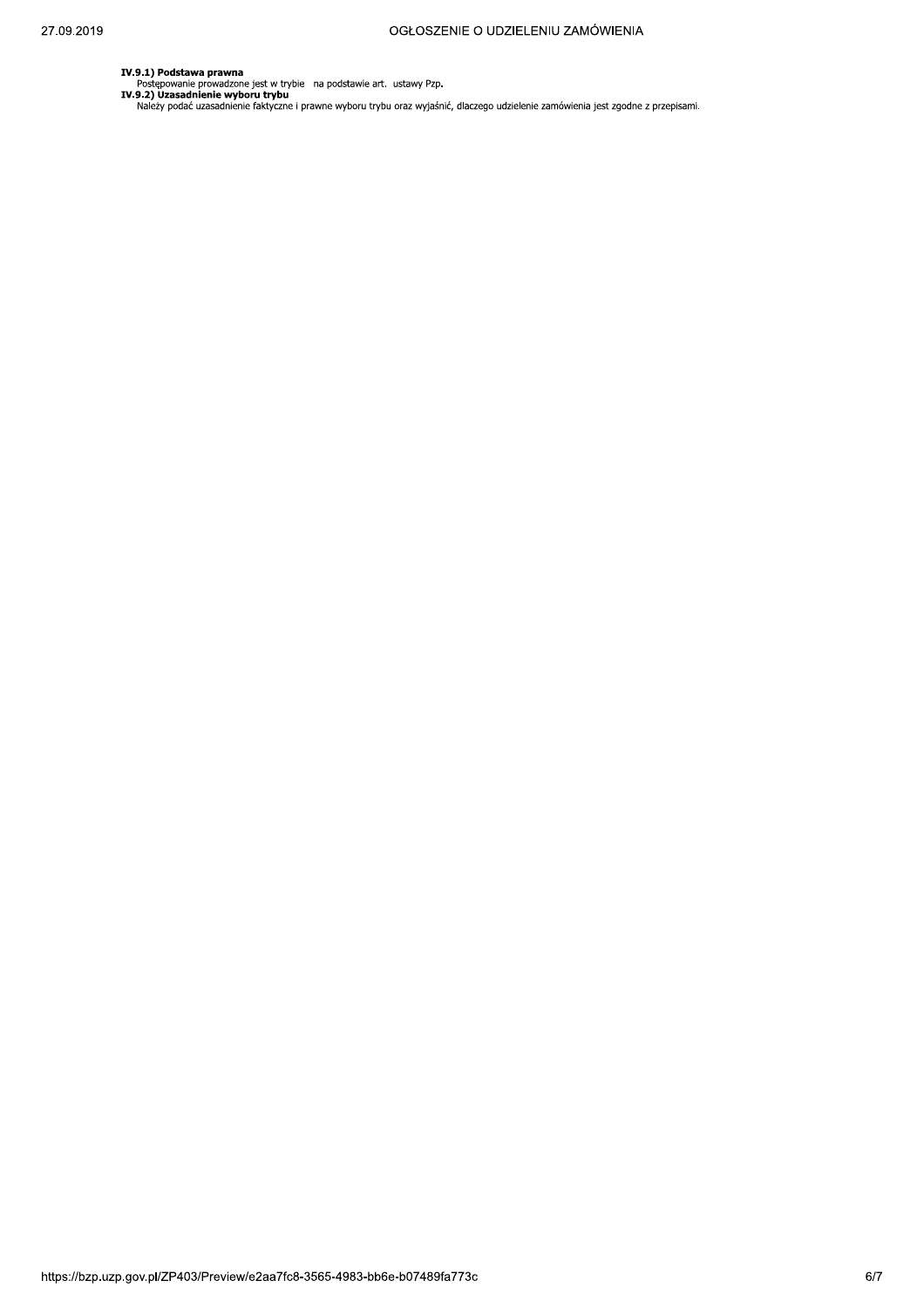IV.9.1) Podstawa prawna<br>Postępowanie prowadzone jest w trybie na podstawie art. ustawy Pzp.<br>IV.9.2) Uzasadnienie wyboru trybu wyboru trybu oraz wyjaśnić, dlaczego udzielenie zamówienia jest zgodne z przepisami.